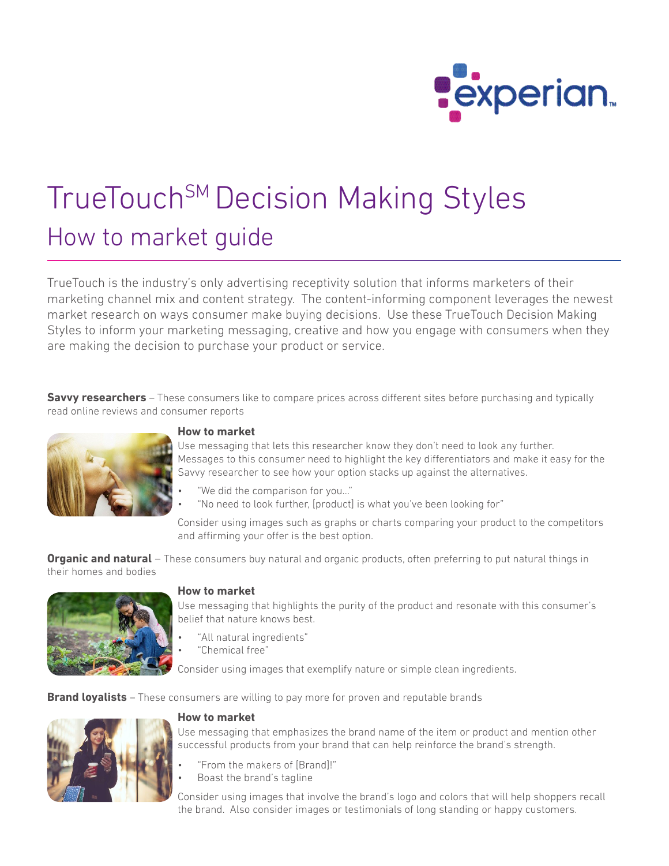

# TrueTouch<sup>SM</sup> Decision Making Styles How to market guide

TrueTouch is the industry's only advertising receptivity solution that informs marketers of their marketing channel mix and content strategy. The content-informing component leverages the newest market research on ways consumer make buying decisions. Use these TrueTouch Decision Making Styles to inform your marketing messaging, creative and how you engage with consumers when they are making the decision to purchase your product or service.

**Savvy researchers** – These consumers like to compare prices across different sites before purchasing and typically read online reviews and consumer reports



## **How to market**

Use messaging that lets this researcher know they don't need to look any further. Messages to this consumer need to highlight the key differentiators and make it easy for the Savvy researcher to see how your option stacks up against the alternatives.

- "We did the comparison for you…"
- "No need to look further, [product] is what you've been looking for"

Consider using images such as graphs or charts comparing your product to the competitors and affirming your offer is the best option.

**Organic and natural** – These consumers buy natural and organic products, often preferring to put natural things in their homes and bodies



## **How to market**

Use messaging that highlights the purity of the product and resonate with this consumer's belief that nature knows best.

- "All natural ingredients"
- "Chemical free"

Consider using images that exemplify nature or simple clean ingredients.

**Brand loyalists** – These consumers are willing to pay more for proven and reputable brands



## **How to market**

Use messaging that emphasizes the brand name of the item or product and mention other successful products from your brand that can help reinforce the brand's strength.

- "From the makers of [Brand]!"
- Boast the brand's tagline

Consider using images that involve the brand's logo and colors that will help shoppers recall the brand. Also consider images or testimonials of long standing or happy customers.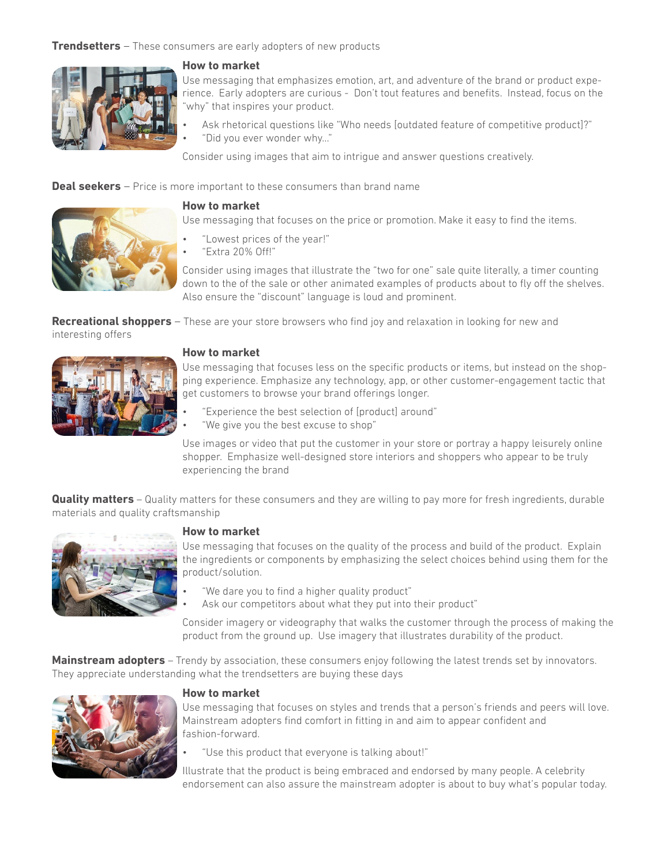## **Trendsetters** – These consumers are early adopters of new products



## **How to market**

Use messaging that emphasizes emotion, art, and adventure of the brand or product experience. Early adopters are curious - Don't tout features and benefits. Instead, focus on the "why" that inspires your product.

- Ask rhetorical questions like "Who needs [outdated feature of competitive product]?"
- "Did you ever wonder why…"

Consider using images that aim to intrigue and answer questions creatively.

**Deal seekers** – Price is more important to these consumers than brand name



## **How to market**

Use messaging that focuses on the price or promotion. Make it easy to find the items.

- "Lowest prices of the year!"
- "Extra 20% Off!"

Consider using images that illustrate the "two for one" sale quite literally, a timer counting down to the of the sale or other animated examples of products about to fly off the shelves. Also ensure the "discount" language is loud and prominent.

**Recreational shoppers** – These are your store browsers who find joy and relaxation in looking for new and interesting offers



#### **How to market**

Use messaging that focuses less on the specific products or items, but instead on the shopping experience. Emphasize any technology, app, or other customer-engagement tactic that get customers to browse your brand offerings longer.

- "Experience the best selection of [product] around"
- "We give you the best excuse to shop"

Use images or video that put the customer in your store or portray a happy leisurely online shopper. Emphasize well-designed store interiors and shoppers who appear to be truly experiencing the brand

**Quality matters** – Quality matters for these consumers and they are willing to pay more for fresh ingredients, durable materials and quality craftsmanship



#### **How to market**

Use messaging that focuses on the quality of the process and build of the product. Explain the ingredients or components by emphasizing the select choices behind using them for the product/solution.

- "We dare you to find a higher quality product"
- Ask our competitors about what they put into their product"

Consider imagery or videography that walks the customer through the process of making the product from the ground up. Use imagery that illustrates durability of the product.

**Mainstream adopters** – Trendy by association, these consumers enjoy following the latest trends set by innovators. They appreciate understanding what the trendsetters are buying these days



#### **How to market**

Use messaging that focuses on styles and trends that a person's friends and peers will love. Mainstream adopters find comfort in fitting in and aim to appear confident and fashion-forward.

• "Use this product that everyone is talking about!"

Illustrate that the product is being embraced and endorsed by many people. A celebrity endorsement can also assure the mainstream adopter is about to buy what's popular today.